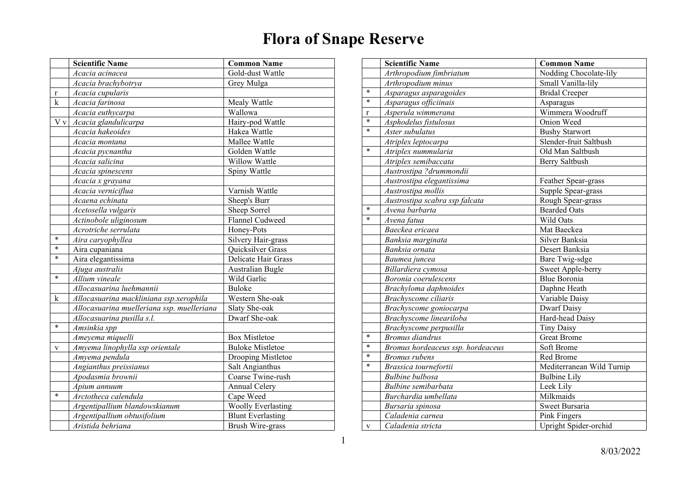|             | <b>Scientific Name</b>                     | <b>Common Name</b>        |
|-------------|--------------------------------------------|---------------------------|
|             | Acacia acinacea                            | Gold-dust Wattle          |
|             | Acacia brachybotrya                        | Grey Mulga                |
| $\mathbf r$ | Acacia cupularis                           |                           |
| k           | Acacia farinosa                            | Mealy Wattle              |
|             | Acacia euthycarpa                          | Wallowa                   |
| V v         | Acacia glandulicarpa                       | Hairy-pod Wattle          |
|             | Acacia hakeoides                           | Hakea Wattle              |
|             | Acacia montana                             | Mallee Wattle             |
|             | Acacia pycnantha                           | Golden Wattle             |
|             | Acacia salicina                            | Willow Wattle             |
|             | Acacia spinescens                          | Spiny Wattle              |
|             | Acacia x grayana                           |                           |
|             | Acacia verniciflua                         | Varnish Wattle            |
|             | Acaena echinata                            | Sheep's Burr              |
|             | Acetosella vulgaris                        | Sheep Sorrel              |
|             | Actinobole uliginosum                      | Flannel Cudweed           |
|             | Acrotriche serrulata                       | Honey-Pots                |
| $\ast$      | Aira caryophyllea                          | Silvery Hair-grass        |
| $\ast$      | Aira cupaniana                             | <b>Quicksilver Grass</b>  |
| *           | Aira elegantissima                         | Delicate Hair Grass       |
|             | Ajuga australis                            | <b>Australian Bugle</b>   |
| *           | Allium vineale                             | Wild Garlic               |
|             | Allocasuarina luehmannii                   | Buloke                    |
| k           | Allocasuarina mackliniana ssp.xerophila    | Western She-oak           |
|             | Allocasuarina muelleriana ssp. muelleriana | Slaty She-oak             |
|             | Allocasuarina pusilla s.l.                 | Dwarf She-oak             |
| $\ast$      | Amsinkia spp                               |                           |
|             | Ameyema miquelli                           | <b>Box Mistletoe</b>      |
| V           | Amyema linophylla ssp orientale            | <b>Buloke Mistletoe</b>   |
|             | Amyema pendula                             | Drooping Mistletoe        |
|             | Angianthus preissianus                     | Salt Angianthus           |
|             | Apodasmia brownii                          | Coarse Twine-rush         |
|             | Apium annuum                               | <b>Annual Celery</b>      |
| $\ast$      | Arctotheca calendula                       | Cape Weed                 |
|             | Argentipallium blandowskianum              | <b>Woolly Everlasting</b> |
|             | Argentipallium obtusifolium                | <b>Blunt Everlasting</b>  |
|             | Aristida behriana                          | <b>Brush Wire-grass</b>   |

|              | <b>Scientific Name</b>            | <b>Common Name</b>        |
|--------------|-----------------------------------|---------------------------|
|              | Arthropodium fimbriatum           | Nodding Chocolate-lily    |
|              | Arthropodium minus                | Small Vanilla-lily        |
| $\ast$       | Asparagus asparagoides            | <b>Bridal Creeper</b>     |
| $\ast$       | Asparagus officiinais             | Asparagus                 |
| r            | Asperula wimmerana                | Wimmera Woodruff          |
| $\ast$       | Asphodelus fistulosus             | Onion Weed                |
| $\ast$       | Aster subulatus                   | <b>Bushy Starwort</b>     |
|              | Atriplex leptocarpa               | Slender-fruit Saltbush    |
| $\ast$       | Atriplex nummularia               | Old Man Saltbush          |
|              | Atriplex semibaccata              | Berry Saltbush            |
|              | Austrostipa ?drummondii           |                           |
|              | Austrostipa elegantissima         | Feather Spear-grass       |
|              | Austrostipa mollis                | Supple Spear-grass        |
|              | Austrostipa scabra ssp falcata    | Rough Spear-grass         |
| $\ast$       | Avena barbarta                    | <b>Bearded Oats</b>       |
| $\ast$       | Avena fatua                       | Wild Oats                 |
|              | Baeckea ericaea                   | Mat Baeckea               |
|              | Banksia marginata                 | Silver Banksia            |
|              | Banksia ornata                    | Desert Banksia            |
|              | Baumea juncea                     | Bare Twig-sdge            |
|              | Billardiera cymosa                | Sweet Apple-berry         |
|              | Boronia coerulescens              | <b>Blue Boronia</b>       |
|              | Brachyloma daphnoides             | Daphne Heath              |
|              | Brachyscome ciliaris              | Variable Daisy            |
|              | Brachyscome goniocarpa            | <b>Dwarf Daisy</b>        |
|              | Brachyscome lineariloba           | Hard-head Daisy           |
|              | Brachyscome perpusilla            | <b>Tiny Daisy</b>         |
| *            | <b>Bromus</b> diandrus            | <b>Great Brome</b>        |
| $\ast$       | Bromus hordeaceus ssp. hordeaceus | Soft Brome                |
| *            | <b>Bromus</b> rubens              | Red Brome                 |
| $\ast$       | Brassica tournefortii             | Mediterranean Wild Turnip |
|              | <b>Bulbine</b> bulbosa            | <b>Bulbine Lily</b>       |
|              | Bulbine semibarbata               | Leek Lily                 |
|              | Burchardia umbellata              | Milkmaids                 |
|              | Bursaria spinosa                  | Sweet Bursaria            |
|              | Caladenia carnea                  | Pink Fingers              |
| $\mathbf{V}$ | Caladenia stricta                 | Upright Spider-orchid     |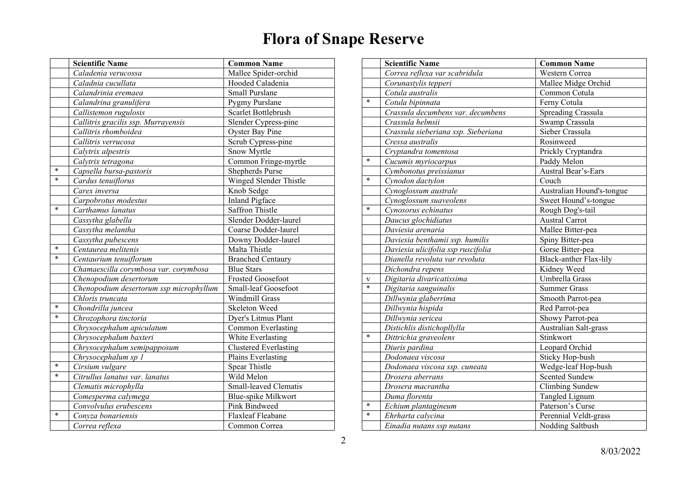|        | <b>Scientific Name</b>                  | <b>Common Name</b>           |
|--------|-----------------------------------------|------------------------------|
|        | Caladenia verucossa                     | Mallee Spider-orchid         |
|        | Caladnia cucullata                      | Hooded Caladenia             |
|        | Calandrinia eremaea                     | Small Purslane               |
|        | Calandrina granulifera                  | Pygmy Purslane               |
|        | Callistemon rugulosis                   | Scarlet Bottlebrush          |
|        | Callitris gracilis ssp. Murrayensis     | Slender Cypress-pine         |
|        | Callitris rhomboidea                    | <b>Oyster Bay Pine</b>       |
|        | Callitris verrucosa                     | Scrub Cypress-pine           |
|        | Calytrix alpestris                      | Snow Myrtle                  |
|        | Calytrix tetragona                      | Common Fringe-myrtle         |
| $\ast$ | Capsella bursa-pastoris                 | Shepherds Purse              |
| $\ast$ | Cardus tenuiflorus                      | Winged Slender Thistle       |
|        | Carex inversa                           | Knob Sedge                   |
|        | Carpobrotus modestus                    | Inland Pigface               |
| $\ast$ | Carthamus lanatus                       | <b>Saffron Thistle</b>       |
|        | Cassytha glabella                       | Slender Dodder-laurel        |
|        | $\overline{C}$ assytha melantha         | Coarse Dodder-laurel         |
|        | Cassytha pubescens                      | Downy Dodder-laurel          |
| $\ast$ | Centaurea melitenis                     | Malta Thistle                |
| $\ast$ | Centaurium tenuiflorum                  | <b>Branched Centaury</b>     |
|        | Chamaescilla corymbosa var. corymbosa   | <b>Blue Stars</b>            |
|        | Chenopodium desertorum                  | <b>Frosted Goosefoot</b>     |
|        | Chenopodium desertorum ssp microphyllum | Small-leaf Goosefoot         |
|        | Chloris truncata                        | <b>Windmill Grass</b>        |
| *      | Chondrilla juncea                       | Skeleton Weed                |
| $\ast$ | Chrozophora tinctoria                   | Dyer's Litmus Plant          |
|        | Chrysocephalum apiculatum               | Common Everlasting           |
|        | Chrysocephalum baxteri                  | White Everlasting            |
|        | Chrysocephalum semipapposum             | <b>Clustered Everlasting</b> |
|        | Chrysocephalum sp 1                     | Plains Everlasting           |
| *      | Cirsium vulgare                         | <b>Spear Thistle</b>         |
| *      | Citrullus lanatus var. lanatus          | Wild Melon                   |
|        | Clematis microphylla                    | Small-leaved Clematis        |
|        | Comesperma calymega                     | Blue-spike Milkwort          |
|        | Convolvulus erubescens                  | Pink Bindweed                |
| *      | Conyza bonariensis                      | Flaxleaf Fleabane            |
|        | Correa reflexa                          | Common Correa                |

|        | <b>Scientific Name</b>              | <b>Common Name</b>            |
|--------|-------------------------------------|-------------------------------|
|        | Correa reflexa var scabridula       | Western Correa                |
|        | Corunastylis tepperi                | Mallee Midge Orchid           |
|        | Cotula australis                    | Common Cotula                 |
| $\ast$ | Cotula bipinnata                    | Ferny Cotula                  |
|        | Crassula decumbens var. decumbens   | Spreading Crassula            |
|        | Crassula helmsii                    | Swamp Crassula                |
|        | Crassula sieberiana ssp. Sieberiana | Sieber Crassula               |
|        | Cressa australis                    | Rosinweed                     |
|        | Cryptandra tomentosa                | Prickly Cryptandra            |
| *      | Cucumis myriocarpus                 | Paddy Melon                   |
|        | Cymbonotus preissianus              | Austral Bear's-Ears           |
| $\ast$ | Cynodon dactylon                    | Couch                         |
|        | Cynoglossum australe                | Australian Hound's-tongue     |
|        | Cynoglossum suaveolens              | Sweet Hound's-tongue          |
| $\ast$ | Cynosorus echinatus                 | Rough Dog's-tail              |
|        | Daucus glochidiatus                 | <b>Austral Carrot</b>         |
|        | Daviesia arenaria                   | Mallee Bitter-pea             |
|        | Daviesia benthamii ssp. humilis     | Spiny Bitter-pea              |
|        | Daviesia ulicifolia ssp ruscifolia  | Gorse Bitter-pea              |
|        | Dianella revoluta var revoluta      | <b>Black-anther Flax-lily</b> |
|        | $\overline{D}$ ichondra repens      | Kidney Weed                   |
| V      | Digitaria divaricatissima           | Umbrella Grass                |
| $\ast$ | Digitaria sanguinalis               | <b>Summer Grass</b>           |
|        | Dillwynia glaberrima                | Smooth Parrot-pea             |
|        | Dillwynia hispida                   | Red Parrot-pea                |
|        | Dillwynia sericea                   | Showy Parrot-pea              |
|        | Distichlis distichopllylla          | Australian Salt-grass         |
| $\ast$ | Dittrichia graveolens               | Stinkwort                     |
|        | Diuris pardina                      | Leopard Orchid                |
|        | Dodonaea viscosa                    | Sticky Hop-bush               |
|        | Dodonaea viscosa ssp. cuneata       | Wedge-leaf Hop-bush           |
|        | Drosera aberrans                    | <b>Scented Sundew</b>         |
|        | Drosera macrantha                   | Climbing Sundew               |
|        | Duma florenta                       | Tangled Lignum                |
| $\ast$ | Echium plantagineum                 | Paterson's Curse              |
| *      | Ehrharta calvcina                   | Perennial Veldt-grass         |
|        | Einadia nutans ssp nutans           | Nodding Saltbush              |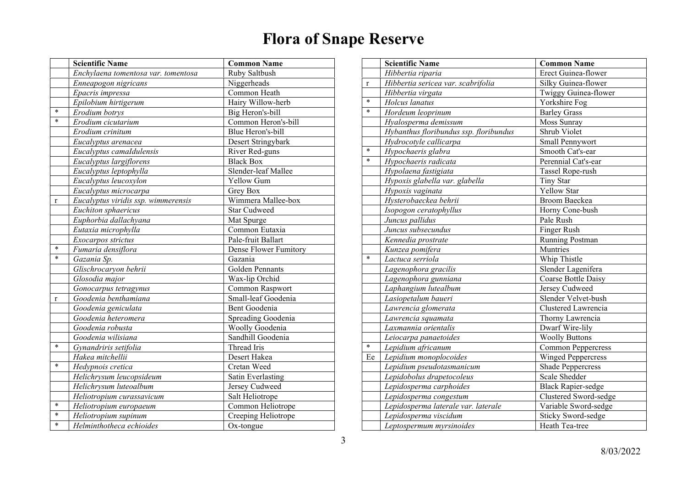|              | <b>Scientific Name</b>              | <b>Common Name</b>    |
|--------------|-------------------------------------|-----------------------|
|              | Enchylaena tomentosa var. tomentosa | Ruby Saltbush         |
|              | Enneapogon nigricans                | Niggerheads           |
|              | Epacris impressa                    | Common Heath          |
|              | Epilobium hirtigerum                | Hairy Willow-herb     |
| $\ast$       | Erodium botrys                      | Big Heron's-bill      |
| $\ast$       | $\overline{E}$ rodium cicutarium    | Common Heron's-bill   |
|              | Erodium crinitum                    | Blue Heron's-bill     |
|              | Eucalyptus arenacea                 | Desert Stringybark    |
|              | Eucalyptus camaIdulensis            | River Red-guns        |
|              | Eucalyptus largiflorens             | <b>Black Box</b>      |
|              | Eucalyptus leptophylla              | Slender-leaf Mallee   |
|              | Eucalyptus leucoxylon               | Yellow Gum            |
|              | Eucalyptus microcarpa               | Grey Box              |
| $\mathbf{r}$ | Eucalyptus viridis ssp. wimmerensis | Wimmera Mallee-box    |
|              | Euchiton sphaericus                 | <b>Star Cudweed</b>   |
|              | Euphorbia dallachyana               | Mat Spurge            |
|              | Eutaxia microphylla                 | Common Eutaxia        |
|              | Exocarpos strictus                  | Pale-fruit Ballart    |
| $\ast$       | Fumaria densiflora                  | Dense Flower Fumitory |
| $\ast$       | Gazania Sp.                         | Gazania               |
|              | Glischrocaryon behrii               | Golden Pennants       |
|              | Glosodia major                      | Wax-lip Orchid        |
|              | Gonocarpus tetragynus               | Common Raspwort       |
| $\mathbf r$  | Goodenia benthamiana                | Small-leaf Goodenia   |
|              | Goodenia geniculata                 | Bent Goodenia         |
|              | Goodenia heteromera                 | Spreading Goodenia    |
|              | Goodenia robusta                    | Woolly Goodenia       |
|              | Goodenia wilisiana                  | Sandhill Goodenia     |
| $\ast$       | Gynandriris setifolia               | Thread Iris           |
|              | Hakea mitchellii                    | Desert Hakea          |
| *            | Hedypnois cretica                   | Cretan Weed           |
|              | Helichrysum leucopsideum            | Satin Everlasting     |
|              | Helichrysum luteoalbum              | Jersey Cudweed        |
|              | Heliotropium curassavicum           | Salt Heliotrope       |
| $\ast$       | Heliotropium europaeum              | Common Heliotrope     |
| *            | Heliotropium supinum                | Creeping Heliotrope   |
| $\ast$       | Helminthotheca echioides            | $Ox$ -tongue          |

|             | <b>Scientific Name</b>                 | <b>Common Name</b>        |
|-------------|----------------------------------------|---------------------------|
|             | Hibbertia riparia                      | Erect Guinea-flower       |
| $\mathbf r$ | Hibbertia sericea var. scabrifolia     | Silky Guinea-flower       |
|             | Hibbertia virgata                      | Twiggy Guinea-flower      |
| $\ast$      | Holcus lanatus                         | Yorkshire Fog             |
| $\ast$      | $\overline{H}$ ordeum leoprinum        | <b>Barley Grass</b>       |
|             | Hyalosperma demissum                   | Moss Sunray               |
|             | Hybanthus floribundus ssp. floribundus | Shrub Violet              |
|             | Hydrocotyle callicarpa                 | Small Pennywort           |
| $\ast$      | Hypochaeris glabra                     | Smooth Cat's-ear          |
| $\ast$      | Hypochaeris radicata                   | Perennial Cat's-ear       |
|             | Hypolaena fastigiata                   | Tassel Rope-rush          |
|             | Hypoxis glabella var. glabella         | <b>Tiny Star</b>          |
|             | Hypoxis vaginata                       | <b>Yellow Star</b>        |
|             | Hysterobaeckea behrii                  | <b>Broom Baeckea</b>      |
|             | Isopogon ceratophyllus                 | Horny Cone-bush           |
|             | Juncus pallidus                        | Pale Rush                 |
|             | Juncus subsecundus                     | Finger Rush               |
|             | Kennedia prostrate                     | Running Postman           |
|             | Kunzea pomifera                        | Muntries                  |
| $\ast$      | Lactuca serriola                       | Whip Thistle              |
|             | Lagenophora gracilis                   | Slender Lagenifera        |
|             | Lagenophora gunniana                   | Coarse Bottle Daisy       |
|             | Laphangium lutealbum                   | Jersey Cudweed            |
|             | Lasiopetalum baueri                    | Slender Velvet-bush       |
|             | Lawrencia glomerata                    | Clustered Lawrencia       |
|             | Lawrencia squamata                     | Thorny Lawrencia          |
|             | Laxmannia orientalis                   | Dwarf Wire-lily           |
|             | Leiocarpa panaetoides                  | <b>Woolly Buttons</b>     |
| $\ast$      | Lepidium africanum                     | <b>Common Peppercress</b> |
| Ee          | Lepidium monoplocoides                 | <b>Winged Peppercress</b> |
|             | Lepidium pseudotasmanicum              | <b>Shade Peppercress</b>  |
|             | Lepidobolus drapetocoleus              | Scale Shedder             |
|             | Lepidosperma carphoides                | <b>Black Rapier-sedge</b> |
|             | Lepidosperma congestum                 | Clustered Sword-sedge     |
|             | Lepidosperma laterale var. laterale    | Variable Sword-sedge      |
|             | Lepidosperma viscidum                  | <b>Sticky Sword-sedge</b> |
|             | Leptospermum myrsinoides               | Heath Tea-tree            |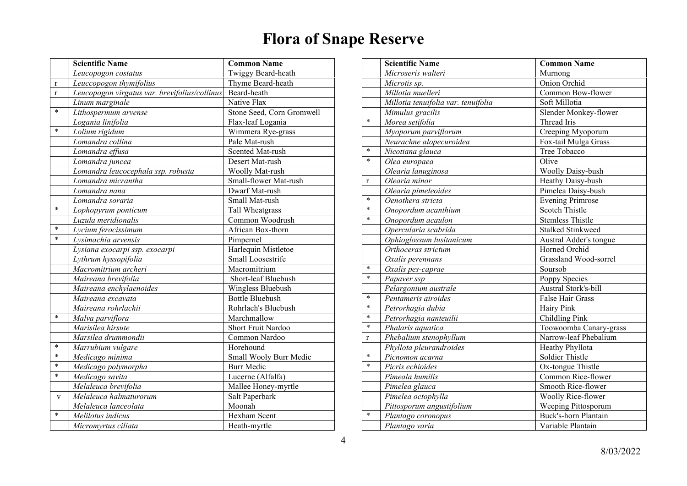|              | <b>Scientific Name</b>                        | <b>Common Name</b>        |
|--------------|-----------------------------------------------|---------------------------|
|              | Leucopogon costatus                           | Twiggy Beard-heath        |
| $\bf r$      | Leuccopogon thymifolius                       | Thyme Beard-heath         |
| $\mathbf{r}$ | Leucopogon virgatus var. brevifolius/collinus | Beard-heath               |
|              | Linum marginale                               | Native Flax               |
| $\ast$       | Lithospermum arvense                          | Stone Seed, Corn Gromwell |
|              | Logania linifolia                             | Flax-leaf Logania         |
| $\ast$       | Lolium rigidum                                | Wimmera Rye-grass         |
|              | Lomandra collina                              | Pale Mat-rush             |
|              | Lomandra effusa                               | Scented Mat-rush          |
|              | Lomandra juncea                               | Desert Mat-rush           |
|              | Lomandra leucocephala ssp. robusta            | Woolly Mat-rush           |
|              | Lomandra micrantha                            | Small-flower Mat-rush     |
|              | Lomandra nana                                 | Dwarf Mat-rush            |
|              | Lomandra soraria                              | Small Mat-rush            |
| $\ast$       | Lophopyrum ponticum                           | Tall Wheatgrass           |
|              | Luzula meridionalis                           | Common Woodrush           |
| $\ast$       | Lycium ferocissimum                           | African Box-thorn         |
| $\ast$       | Lysimachia arvensis                           | Pimpernel                 |
|              | Lysiana exocarpi ssp. exocarpi                | Harlequin Mistletoe       |
|              | Lythrum hyssopifolia                          | Small Loosestrife         |
|              | Macromitrium archeri                          | Macromitrium              |
|              | Maireana brevifolia                           | Short-leaf Bluebush       |
|              | Maireana enchylaenoides                       | Wingless Bluebush         |
|              | Maireana excavata                             | <b>Bottle Bluebush</b>    |
|              | Maireana rohrlachii                           | Rohrlach's Bluebush       |
| $\ast$       | Malva parviflora                              | Marchmallow               |
|              | Marisilea hirsute                             | Short Fruit Nardoo        |
|              | Marsilea drummondii                           | Common Nardoo             |
| $\ast$       | Marrubium vulgare                             | Horehound                 |
| $\ast$       | Medicago minima                               | Small Wooly Burr Medic    |
| $\ast$       | Medicago polymorpha                           | <b>Burr Medic</b>         |
| *            | Medicago savita                               | Lucerne (Alfalfa)         |
|              | Melaleuca brevifolia                          | Mallee Honey-myrtle       |
| V            | Melaleuca halmaturorum                        | Salt Paperbark            |
|              | Melaleuca lanceolata                          | Moonah                    |
| ∗            | Melilotus indicus                             | Hexham Scent              |
|              | Micromyrtus ciliata                           | Heath-myrtle              |

|              | <b>Scientific Name</b>              | <b>Common Name</b>          |
|--------------|-------------------------------------|-----------------------------|
|              | Microseris walteri                  | Murnong                     |
|              | Microtis sp.                        | Onion Orchid                |
|              | Millotia muelleri                   | Common Bow-flower           |
|              | Millotia tenuifolia var. tenuifolia | Soft Millotia               |
|              | Mimulus gracilis                    | Slender Monkey-flower       |
| $\ast$       | Morea setifolia                     | Thread Iris                 |
|              | Myoporum parviflorum                | Creeping Myoporum           |
|              | Neurachne alopecuroidea             | Fox-tail Mulga Grass        |
| $\ast$       | Nicotiana glauca                    | Tree Tobacco                |
| $\ast$       | Olea europaea                       | Olive                       |
|              | Olearia lanuginosa                  | <b>Woolly Daisy-bush</b>    |
| $\mathbf r$  | Olearia minor                       | Heathy Daisy-bush           |
|              | Olearia pimeleoides                 | Pimelea Daisy-bush          |
| $\ast$       | $\overline{O}$ enothera stricta     | <b>Evening Primrose</b>     |
| $\ast$       | Onopordum acanthium                 | <b>Scotch Thistle</b>       |
| $\ast$       | Onopordum acaulon                   | <b>Stemless Thistle</b>     |
|              | Opercularia scabrida                | <b>Stalked Stinkweed</b>    |
|              | Ophioglossum lusitanicum            | Austral Adder's tongue      |
|              | Orthoceras strictum                 | Horned Orchid               |
|              | Oxalis perennans                    | Grassland Wood-sorrel       |
| $\ast$       | Oxalis pes-caprae                   | Soursob                     |
| $\ast$       | Papaver ssp                         | Poppy Species               |
|              | Pelargonium australe                | <b>Austral Stork's-bill</b> |
| *            | Pentameris airoides                 | <b>False Hair Grass</b>     |
| $\ast$       | Petrorhagia dubia                   | Hairy Pink                  |
| $\ast$       | Petrorhagia nanteuilii              | Childling Pink              |
| $\ast$       | Phalaris aquatica                   | Toowoomba Canary-grass      |
| $\mathbf{r}$ | Phebalium stenophyllum              | Narrow-leaf Phebalium       |
|              | Phyllota pleurandroides             | Heathy Phyllota             |
| $\ast$       | Picnomon acarna                     | Soldier Thistle             |
| $\ast$       | Picris echioides                    | Ox-tongue Thistle           |
|              | Pimeala humilis                     | Common Rice-flower          |
|              | Pimelea glauca                      | Smooth Rice-flower          |
|              | Pimelea octophylla                  | Woolly Rice-flower          |
|              | Pittosporum angustifolium           | Weeping Pittosporum         |
| $\ast$       | Plantago coronopus                  | Buck's-horn Plantain        |
|              | Plantago varia                      | Variable Plantain           |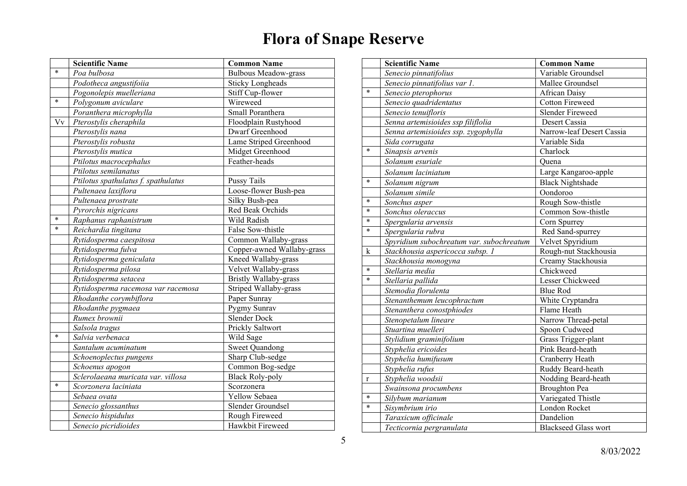|        | <b>Scientific Name</b>              | <b>Common Name</b>          |
|--------|-------------------------------------|-----------------------------|
| $\ast$ | Poa bulbosa                         | <b>Bulbous Meadow-grass</b> |
|        | Podotheca angustifoiia              | <b>Sticky Longheads</b>     |
|        | Pogonolepis muelleriana             | Stiff Cup-flower            |
| $\ast$ | Polygonum aviculare                 | Wireweed                    |
|        | Poranthera microphylla              | Small Poranthera            |
| Vv     | Pterostylis cheraphila              | Floodplain Rustyhood        |
|        | Pterostylis nana                    | Dwarf Greenhood             |
|        | Pterostylis robusta                 | Lame Striped Greenhood      |
|        | Pterostylis mutica                  | Midget Greenhood            |
|        | Ptilotus macrocephalus              | Feather-heads               |
|        | Ptilotus semilanatus                |                             |
|        | Ptilotus spathulatus f. spathulatus | <b>Pussy Tails</b>          |
|        | Pultenaea laxiflora                 | Loose-flower Bush-pea       |
|        | Pultenaea prostrate                 | Silky Bush-pea              |
|        | Pyrorchis nigricans                 | Red Beak Orchids            |
| $\ast$ | Raphanus raphanistrum               | Wild Radish                 |
| $\ast$ | Reichardia tingitana                | False Sow-thistle           |
|        | Rytidosperma caespitosa             | Common Wallaby-grass        |
|        | Rytidosperma fulva                  | Copper-awned Wallaby-grass  |
|        | Rytidosperma geniculata             | Kneed Wallaby-grass         |
|        | Rytidosperma pilosa                 | Velvet Wallaby-grass        |
|        | Rytidosperma setacea                | Bristly Wallaby-grass       |
|        | Rytidosperma racemosa var racemosa  | Striped Wallaby-grass       |
|        | Rhodanthe corymbiflora              | Paper Sunray                |
|        | Rhodanthe pygmaea                   | Pygmy Sunrav                |
|        | Rumex brownii                       | <b>Slender Dock</b>         |
|        | Salsola tragus                      | Prickly Saltwort            |
| $\ast$ | Salvia verbenaca                    | Wild Sage                   |
|        | Santalum acuminatum                 | <b>Sweet Quandong</b>       |
|        | Schoenoplectus pungens              | Sharp Club-sedge            |
|        | Schoenus apogon                     | Common Bog-sedge            |
|        | Sclerolaeana muricata var. villosa  | <b>Black Roly-poly</b>      |
| $\ast$ | Scorzonera laciniata                | Scorzonera                  |
|        | Sebaea ovata                        | Yellow Sebaea               |
|        | Senecio glossanthus                 | Slender Groundsel           |
|        | Senecio hispidulus                  | Rough Fireweed              |
|        | Senecio picridioides                | Hawkbit Fireweed            |

|             | <b>Scientific Name</b>                   | <b>Common Name</b>          |
|-------------|------------------------------------------|-----------------------------|
|             | Senecio pinnatifolius                    | Variable Groundsel          |
|             | Senecio pinnatifolius var 1.             | Mallee Groundsel            |
| $\ast$      | Senecio pterophorus                      | <b>African Daisy</b>        |
|             | Senecio quadridentatus                   | <b>Cotton Fireweed</b>      |
|             | Senecio tenuifloris                      | <b>Slender Fireweed</b>     |
|             | Senna artemisioides ssp filiflolia       | Desert Cassia               |
|             | Senna artemisioides ssp. zygophylla      | Narrow-leaf Desert Cassia   |
|             | Sida corrugata                           | Variable Sida               |
| $\ast$      | Sinapsis arvenis                         | Charlock                    |
|             | Solanum esuriale                         | Ouena                       |
|             | Solanum laciniatum                       | Large Kangaroo-apple        |
| $\ast$      | Solanum nigrum                           | <b>Black Nightshade</b>     |
|             | Solanum simile                           | Oondoroo                    |
| $\ast$      | Sonchus asper                            | Rough Sow-thistle           |
| $\ast$      | Sonchus oleraccus                        | Common Sow-thistle          |
| $\ast$      | Spergularia arvensis                     | Corn Spurrey                |
| $\ast$      | Spergularia rubra                        | Red Sand-spurrey            |
|             | Spyridium subochreatum var. subochreatum | Velvet Spyridium            |
| k           | Stackhousia aspericocca subsp. 1         | Rough-nut Stackhousia       |
|             | Stackhousia monogyna                     | Creamy Stackhousia          |
| $\ast$      | Stellaria media                          | Chickweed                   |
| $\ast$      | Stellaria pallida                        | Lesser Chickweed            |
|             | Stemodia florulenta                      | <b>Blue Rod</b>             |
|             | Stenanthemum leucophractum               | White Cryptandra            |
|             | Stenanthera conostphiodes                | Flame Heath                 |
|             | Stenopetalum lineare                     | Narrow Thread-petal         |
|             | Stuartina muelleri                       | Spoon Cudweed               |
|             | Stylidium graminifolium                  | Grass Trigger-plant         |
|             | Styphelia ericoides                      | Pink Beard-heath            |
|             | Styphelia humifusum                      | Cranberry Heath             |
|             | Styphelia rufus                          | Ruddy Beard-heath           |
| $\mathbf r$ | Styphelia woodsii                        | Nodding Beard-heath         |
|             | Swainsona procumbens                     | <b>Broughton Pea</b>        |
| $\ast$      | Silybum marianum                         | Variegated Thistle          |
| $\ast$      | Sisymbrium irio                          | London Rocket               |
|             | Taraxicum officinale                     | Dandelion                   |
|             | Tecticornia pergranulata                 | <b>Blackseed Glass wort</b> |